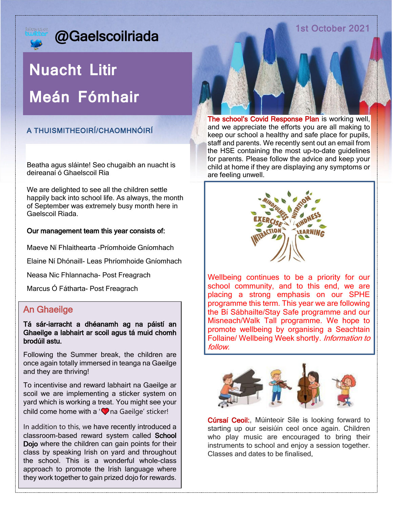### 1st October 2021

## @Gaelscoilriada

# **Nuacht Litir Meán Fómhair**

### A THUISMITHEOIRÍ/CHAOMHNÓIRÍ

Beatha agus sláinte! Seo chugaibh an nuacht is deireanaí ó Ghaelscoil Ria

We are delighted to see all the children settle happily back into school life. As always, the month of September was extremely busy month here in Gaelscoil Riada.

#### Our management team this year consists of:

Maeve Ní Fhlaithearta -Príomhoide Gníomhach

Elaine Ní Dhónaill- Leas Phríomhoide Gníomhach

Neasa Nic Fhlannacha- Post Freagrach

Marcus Ó Fátharta- Post Freagrach

### An Ghaeilge

#### Tá sár-iarracht a dhéanamh ag na páistí an Ghaeilge a labhairt ar scoil agus tá muid chomh brodúil astu.

Following the Summer break, the children are once again totally immersed in teanga na Gaeilge and they are thriving!

To incentivise and reward labhairt na Gaeilge ar scoil we are implementing a sticker system on yard which is working a treat. You might see your child come home with a ' $\heartsuit$  na Gaeilge' sticker!

In addition to this, we have recently introduced a classroom-based reward system called School Dojo where the children can gain points for their class by speaking Irish on yard and throughout the school. This is a wonderful whole-class approach to promote the Irish language where they work together to gain prized dojo for rewards.

The school's Covid Response Plan is working well, and we appreciate the efforts you are all making to keep our school a healthy and safe place for pupils, staff and parents. We recently sent out an email from the HSE containing the most up-to-date guidelines for parents. Please follow the advice and keep your child at home if they are displaying any symptoms or are feeling unwell.



Wellbeing continues to be a priority for our school community, and to this end, we are placing a strong emphasis on our SPHE programme this term. This year we are following the Bí Sábhailte/Stay Safe programme and our Misneach/Walk Tall programme. We hope to promote wellbeing by organising a Seachtain Follaine/ Wellbeing Week shortly. Information to follow.



Cúrsaí Ceoil:, Múinteoir Síle is looking forward to starting up our seisiúin ceol once again. Children who play music are encouraged to bring their instruments to school and enjoy a session together. Classes and dates to be finalised.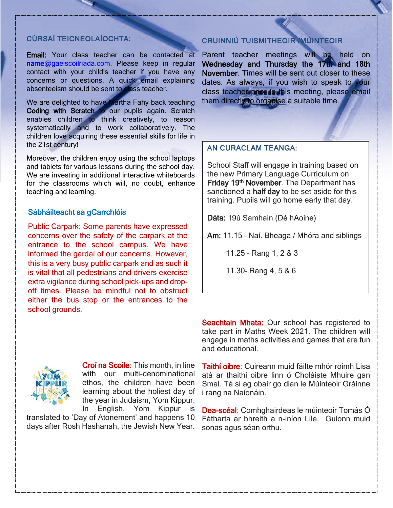#### CÚRSAÍ TEICNEOLAÍOCHTA:

Email: Your class teacher can be contacted at [name@gaelscoilriada.com.](mailto:name@gaelscoilriada.com) Please keep in regular contact with your child's teacher if you have any concerns or questions. A quick email explaining absenteeism should be sent to class teacher.

We are delighted to have Martha Fahy back teaching Coding with Scratch to our pupils again. Scratch enables children to think creatively, to reason systematically and to work collaboratively. The children love acquiring these essential skills for life in the 21st century!

Moreover, the children enjoy using the school laptops and tablets for various lessons during the school day. We are investing in additional interactive whiteboards for the classrooms which will, no doubt, enhance teaching and learning.

#### Sábháilteacht sa gCarrchlóis

Public Carpark: Some parents have expressed concerns over the safety of the carpark at the entrance to the school campus. We have informed the gardaí of our concerns. However, this is a very busy public carpark and as such it is vital that all pedestrians and drivers exercise extra vigilance during school pick-ups and dropoff times. Please be mindful not to obstruct either the bus stop or the entrances to the school grounds.



Croí na Scoile: This month, in line with our multi-denominational ethos, the children have been learning about the holiest day of the year in Judaism, Yom Kippur. In English, Yom Kippur is

translated to 'Day of Atonement' and happens 10 days after Rosh Hashanah, the Jewish New Year.

### CRUINNIÚ TUISMITHEOIR /MÚINTEOIR

Parent teacher meetings will be held on Wednesday and Thursday the 17th and 18th November. Times will be sent out closer to these dates. As always, if you wish to speak to your class teacher prior to this meeting, please email them directly to organise a suitable time.

#### AN CURACLAM TEANGA:

School Staff will engage in training based on the new Primary Language Curriculum on Friday 19<sup>th</sup> November. The Department has sanctioned a half day to be set aside for this training. Pupils will go home early that day.

Dáta: 19ú Samhain (Dé hAoine)

Am: 11.15 – Naí. Bheaga / Mhóra and siblings

11.25 – Rang 1, 2 & 3

11.30– Rang 4, 5 & 6

Seachtain Mhata: Our school has registered to take part in Maths Week 2021. The children will engage in maths activities and games that are fun and educational.

Taithí oibre: Cuireann muid fáilte mhór roimh Lisa atá ar thaithí oibre linn ó Choláiste Mhuire gan Smal. Tá sí ag obair go dian le Múinteoir Gráinne i rang na Naíonáin.

Dea-scéal: Comhghairdeas le múinteoir Tomás Ó Fátharta ar bhreith a n-iníon Líle. Guíonn muid sonas agus séan orthu.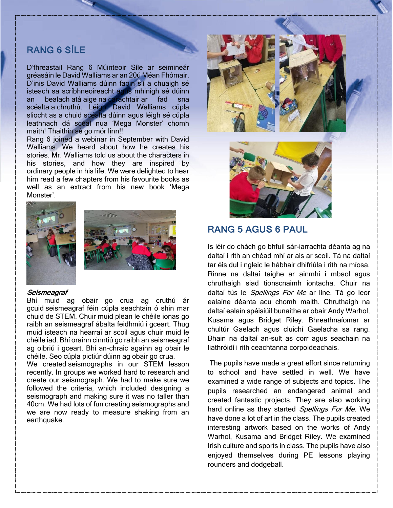### RANG 6 SÍLE

D'fhreastail Rang 6 Múinteoir Síle ar seimineár gréasáin le David Walliams ar an 20ú Méan Fhómair. D'inis David Walliams dúinn faoin slí a chuaigh sé isteach sa scríbhneoireacht agus mhinigh sé dúinn an bealach atá aige na carachtair ar fad sna scéalta a chruthú. Léigh David Walliams cúpla sliocht as a chuid scéalta dúinn agus léigh sé cúpla leathnach dá scéal nua 'Mega Monster' chomh maith! Thaithin sé go mór linn!!

Rang 6 joined a webinar in September with David Walliams. We heard about how he creates his stories. Mr. Walliams told us about the characters in his stories, and how they are inspired by ordinary people in his life. We were delighted to hear him read a few chapters from his favourite books as well as an extract from his new book 'Mega Monster'.





#### Seismeagraf

Bhí muid ag obair go crua ag cruthú ár gcuid seismeagraf féin cúpla seachtain ó shin mar chuid de STEM. Chuir muid plean le chéile ionas go raibh an seismeagraf ábalta feidhmiú i gceart. Thug muid isteach na hearraí ar scoil agus chuir muid le chéile iad. Bhí orainn cinntiú go raibh an seismeagraf ag oibriú i gceart. Bhí an-chraic againn ag obair le chéile. Seo cúpla pictiúr dúinn ag obair go crua.

We created seismographs in our STEM lesson recently. In groups we worked hard to research and create our seismograph. We had to make sure we followed the criteria, which included designing a seismograph and making sure it was no taller than 40cm. We had lots of fun creating seismographs and we are now ready to measure shaking from an earthquake.





### RANG 5 AGUS 6 PAUL

Is léir do chách go bhfuil sár-iarrachta déanta ag na daltaí i rith an chéad mhí ar ais ar scoil. Tá na daltaí tar éis dul i ngleic le hábhair dhifriúla i rith na míosa. Rinne na daltaí taighe ar ainmhí i mbaol agus chruthaigh siad tionscnaimh iontacha. Chuir na daltaí tús le *Spellings For Me* ar líne. Tá go leor ealaíne déanta acu chomh maith. Chruthaigh na daltaí ealaín spéisiúil bunaithe ar obair Andy Warhol, Kusama agus Bridget Riley. Bhreathnaíomar ar chultúr Gaelach agus cluichí Gaelacha sa rang. Bhain na daltaí an-sult as corr agus seachain na liathróidí i rith ceachtanna corpoideachais.

The pupils have made a great effort since returning to school and have settled in well. We have examined a wide range of subjects and topics. The pupils researched an endangered animal and created fantastic projects. They are also working hard online as they started Spellings For Me. We have done a lot of art in the class. The pupils created interesting artwork based on the works of Andy Warhol, Kusama and Bridget Riley. We examined Irish culture and sports in class. The pupils have also enjoyed themselves during PE lessons playing rounders and dodgeball.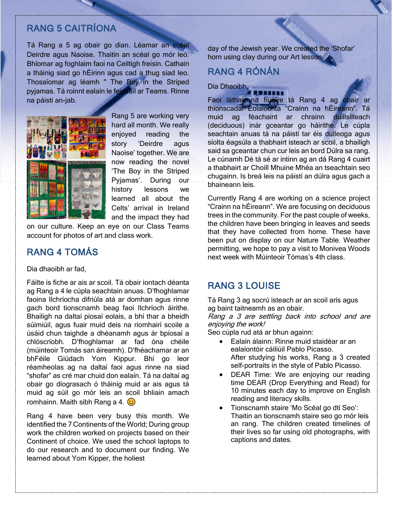### RANG 5 CAITRÍONA

Tá Rang a 5 ag obair go dian. Léamar an scéal Deirdre agus Naoise. Thaitin an scéal go mór leo. Bhíomar ag foghlaim faoi na Ceiltigh freisin. Cathain a tháinig siad go hÉirinn agus cad a thug siad leo. Thosaíomar ag léamh " The Boy in the Striped pyjamas. Tá roinnt ealaín le feiceáil ar Teams. Rinne na páistí an-jab.



Rang 5 are working very hard all month. We really enjoyed reading the story 'Deirdre agus Naoise' together. We are now reading the novel 'The Boy in the Striped Pyjamas'. During our history lessons we learned all about the Celts' arrival in Ireland and the impact they had

on our culture. Keep an eye on our Class Teams account for photos of art and class work.

### RANG 4 TOMÁS

Dia dhaoibh ar fad,

Fáilte is fiche ar ais ar scoil. Tá obair iontach déanta ag Rang a 4 le cúpla seachtain anuas. D'fhoghlamar faoina Ilchríocha difriúla atá ar domhan agus rinne gach bord tionscnamh beag faoi Ilchríoch áirithe. Bhailigh na daltaí píosaí eolais, a bhí thar a bheidh súimiúil, agus fuair muid deis na ríomhairí scoile a úsáid chun taighde a dhéanamh agus ár bpíosaí a chlóscríobh. D'fhoghlamar ar fad óna chéile (múinteoir Tomás san áireamh). D'fhéachamar ar an bhFéile Giúdach Yom Kippur. Bhí go leor réamheolas ag na daltaí faoi agus rinne na siad "shofar" as cré mar chuid don ealaín. Tá na daltaí ag obair go díograsach ó tháinig muid ar ais agus tá muid ag súil go mór leis an scoil bhliain amach romhainn. Maith sibh Rang a 4.  $\odot$ 

Rang 4 have been very busy this month. We identified the 7 Continents of the World; During group work the children worked on projects based on their Continent of choice. We used the school laptops to do our research and to document our finding. We learned about Yom Kipper, the holiest

day of the Jewish year. We created the 'Shofar' horn using clay during our Art lesson

### RANG 4 RÓNÁN

Dia Dhaoibh,

Faoi láthair na huaire tá Rang 4 ag obair ar thionscadal Eolaíochta "Crainn na hÉireann". Tá muid ag féachaint ar chrainn duillsilteach (deciduous) inár gceantar go háirithe. Le cúpla seachtain anuas tá na páistí tar éis dulleoga agus síolta éagsúla a thabhairt isteach ar scoil, a bhailigh said sa gceantar chun cur leis an bord Dúlra sa rang. Le cúnamh Dé tá sé ar intinn ag an dá Rang 4 cuairt a thabhairt ar Choill Mhuine Mhéa an tseachtain seo chugainn. Is breá leis na páistí an dúlra agus gach a bhaineann leis.

Currently Rang 4 are working on a science project "Crainn na hÉireann". We are focusing on deciduous trees in the community. For the past couple of weeks, the children have been bringing in leaves and seeds that they have collected from home. These have been put on display on our Nature Table. Weather permitting, we hope to pay a visit to Monivea Woods next week with Múinteoir Tómas's 4th class.

### RANG 3 LOUISE

Tá Rang 3 ag socrú isteach ar an scoil arís agus ag baint taitneamh as an obair.

Rang a 3 are settling back into school and are enjoying the work!

Seo cúpla rud atá ar bhun againn:

- Ealaín álainn: Rinne muid staidéar ar an ealaíontóir cáiliúil Pablo Picasso. After studying his works, Rang a 3 created self-portraits in the style of Pablo Picasso.
- DEAR Time: We are enjoying our reading time DEAR (Drop Everything and Read) for 10 minutes each day to improve on English reading and literacy skills.
- Tionscnamh staire 'Mo Scéal go dtí Seo': Thaitin an tionscnamh staire seo go mór leis an rang. The children created timelines of their lives so far using old photographs, with captions and dates.